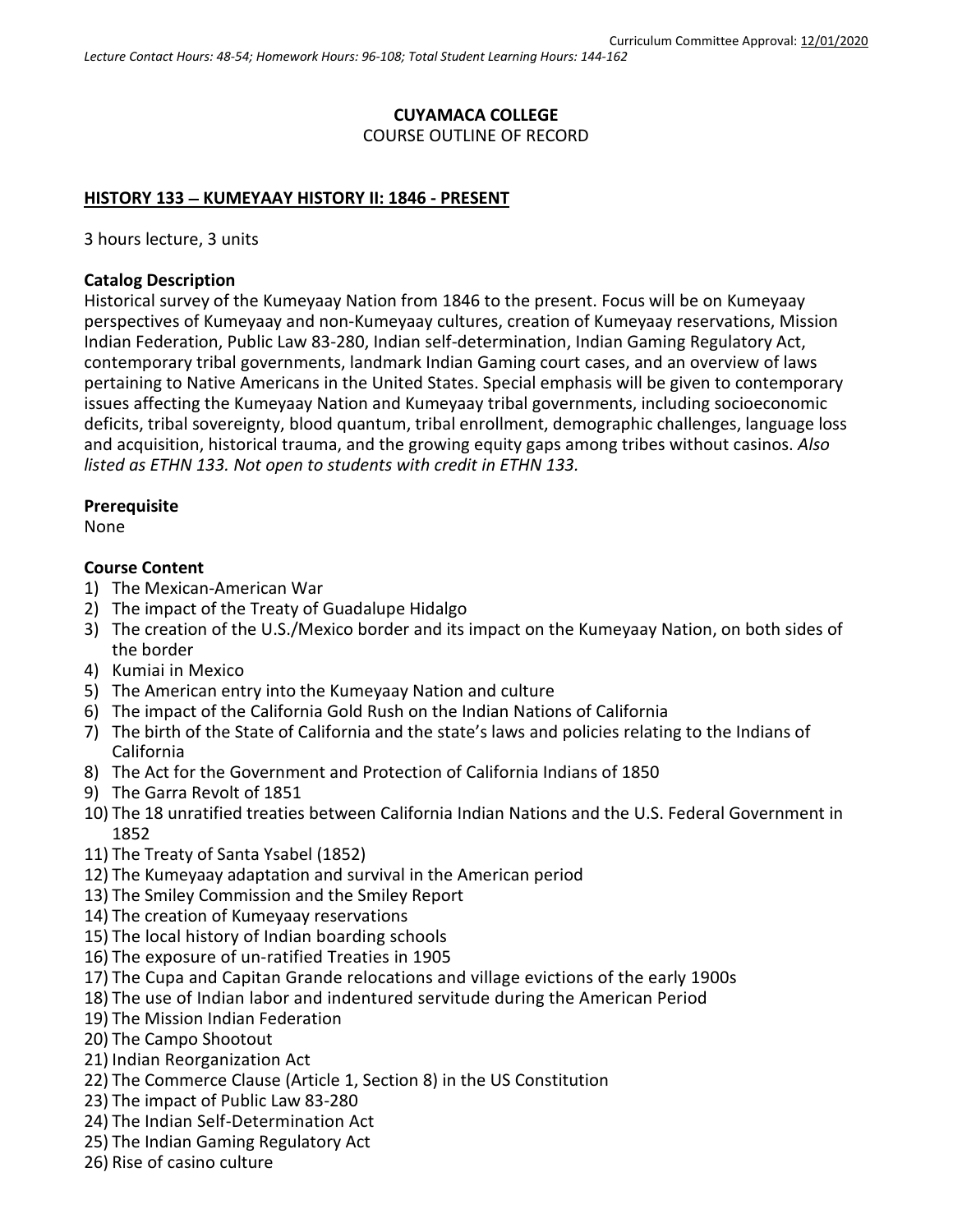# **CUYAMACA COLLEGE** COURSE OUTLINE OF RECORD

### **HISTORY 133** − **KUMEYAAY HISTORY II: 1846 - PRESENT**

3 hours lecture, 3 units

### **Catalog Description**

Historical survey of the Kumeyaay Nation from 1846 to the present. Focus will be on Kumeyaay perspectives of Kumeyaay and non-Kumeyaay cultures, creation of Kumeyaay reservations, Mission Indian Federation, Public Law 83-280, Indian self-determination, Indian Gaming Regulatory Act, contemporary tribal governments, landmark Indian Gaming court cases, and an overview of laws pertaining to Native Americans in the United States. Special emphasis will be given to contemporary issues affecting the Kumeyaay Nation and Kumeyaay tribal governments, including socioeconomic deficits, tribal sovereignty, blood quantum, tribal enrollment, demographic challenges, language loss and acquisition, historical trauma, and the growing equity gaps among tribes without casinos. *Also listed as ETHN 133. Not open to students with credit in ETHN 133.*

### **Prerequisite**

None

### **Course Content**

- 1) The Mexican-American War
- 2) The impact of the Treaty of Guadalupe Hidalgo
- 3) The creation of the U.S./Mexico border and its impact on the Kumeyaay Nation, on both sides of the border
- 4) Kumiai in Mexico
- 5) The American entry into the Kumeyaay Nation and culture
- 6) The impact of the California Gold Rush on the Indian Nations of California
- 7) The birth of the State of California and the state's laws and policies relating to the Indians of California
- 8) The Act for the Government and Protection of California Indians of 1850
- 9) The Garra Revolt of 1851
- 10) The 18 unratified treaties between California Indian Nations and the U.S. Federal Government in 1852
- 11) The Treaty of Santa Ysabel (1852)
- 12) The Kumeyaay adaptation and survival in the American period
- 13) The Smiley Commission and the Smiley Report
- 14) The creation of Kumeyaay reservations
- 15) The local history of Indian boarding schools
- 16) The exposure of un-ratified Treaties in 1905
- 17) The Cupa and Capitan Grande relocations and village evictions of the early 1900s
- 18) The use of Indian labor and indentured servitude during the American Period
- 19) The Mission Indian Federation
- 20) The Campo Shootout
- 21) Indian Reorganization Act
- 22) The Commerce Clause (Article 1, Section 8) in the US Constitution
- 23) The impact of Public Law 83-280
- 24) The Indian Self-Determination Act
- 25) The Indian Gaming Regulatory Act
- 26) Rise of casino culture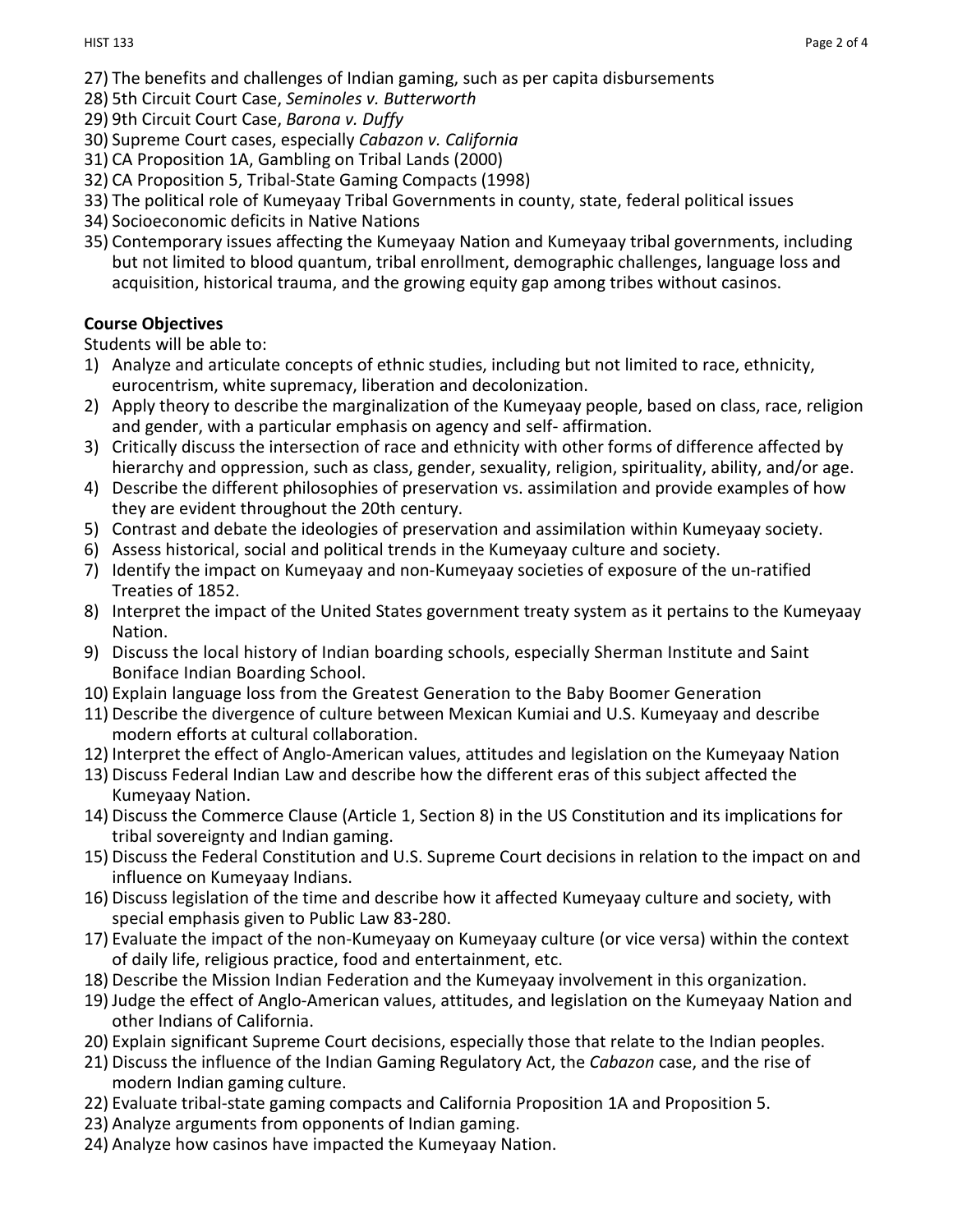- 27) The benefits and challenges of Indian gaming, such as per capita disbursements
- 28) 5th Circuit Court Case, *Seminoles v. Butterworth*
- 29) 9th Circuit Court Case, *Barona v. Duffy*
- 30) Supreme Court cases, especially *Cabazon v. California*
- 31) CA Proposition 1A, Gambling on Tribal Lands (2000)
- 32) CA Proposition 5, Tribal-State Gaming Compacts (1998)
- 33) The political role of Kumeyaay Tribal Governments in county, state, federal political issues
- 34) Socioeconomic deficits in Native Nations
- 35) Contemporary issues affecting the Kumeyaay Nation and Kumeyaay tribal governments, including but not limited to blood quantum, tribal enrollment, demographic challenges, language loss and acquisition, historical trauma, and the growing equity gap among tribes without casinos.

# **Course Objectives**

Students will be able to:

- 1) Analyze and articulate concepts of ethnic studies, including but not limited to race, ethnicity, eurocentrism, white supremacy, liberation and decolonization.
- 2) Apply theory to describe the marginalization of the Kumeyaay people, based on class, race, religion and gender, with a particular emphasis on agency and self- affirmation.
- 3) Critically discuss the intersection of race and ethnicity with other forms of difference affected by hierarchy and oppression, such as class, gender, sexuality, religion, spirituality, ability, and/or age.
- 4) Describe the different philosophies of preservation vs. assimilation and provide examples of how they are evident throughout the 20th century.
- 5) Contrast and debate the ideologies of preservation and assimilation within Kumeyaay society.
- 6) Assess historical, social and political trends in the Kumeyaay culture and society.
- 7) Identify the impact on Kumeyaay and non-Kumeyaay societies of exposure of the un-ratified Treaties of 1852.
- 8) Interpret the impact of the United States government treaty system as it pertains to the Kumeyaay Nation.
- 9) Discuss the local history of Indian boarding schools, especially Sherman Institute and Saint Boniface Indian Boarding School.
- 10) Explain language loss from the Greatest Generation to the Baby Boomer Generation
- 11) Describe the divergence of culture between Mexican Kumiai and U.S. Kumeyaay and describe modern efforts at cultural collaboration.
- 12) Interpret the effect of Anglo-American values, attitudes and legislation on the Kumeyaay Nation
- 13) Discuss Federal Indian Law and describe how the different eras of this subject affected the Kumeyaay Nation.
- 14) Discuss the Commerce Clause (Article 1, Section 8) in the US Constitution and its implications for tribal sovereignty and Indian gaming.
- 15) Discuss the Federal Constitution and U.S. Supreme Court decisions in relation to the impact on and influence on Kumeyaay Indians.
- 16) Discuss legislation of the time and describe how it affected Kumeyaay culture and society, with special emphasis given to Public Law 83-280.
- 17) Evaluate the impact of the non-Kumeyaay on Kumeyaay culture (or vice versa) within the context of daily life, religious practice, food and entertainment, etc.
- 18) Describe the Mission Indian Federation and the Kumeyaay involvement in this organization.
- 19) Judge the effect of Anglo-American values, attitudes, and legislation on the Kumeyaay Nation and other Indians of California.
- 20) Explain significant Supreme Court decisions, especially those that relate to the Indian peoples.
- 21) Discuss the influence of the Indian Gaming Regulatory Act, the *Cabazon* case, and the rise of modern Indian gaming culture.
- 22) Evaluate tribal-state gaming compacts and California Proposition 1A and Proposition 5.
- 23) Analyze arguments from opponents of Indian gaming.
- 24) Analyze how casinos have impacted the Kumeyaay Nation.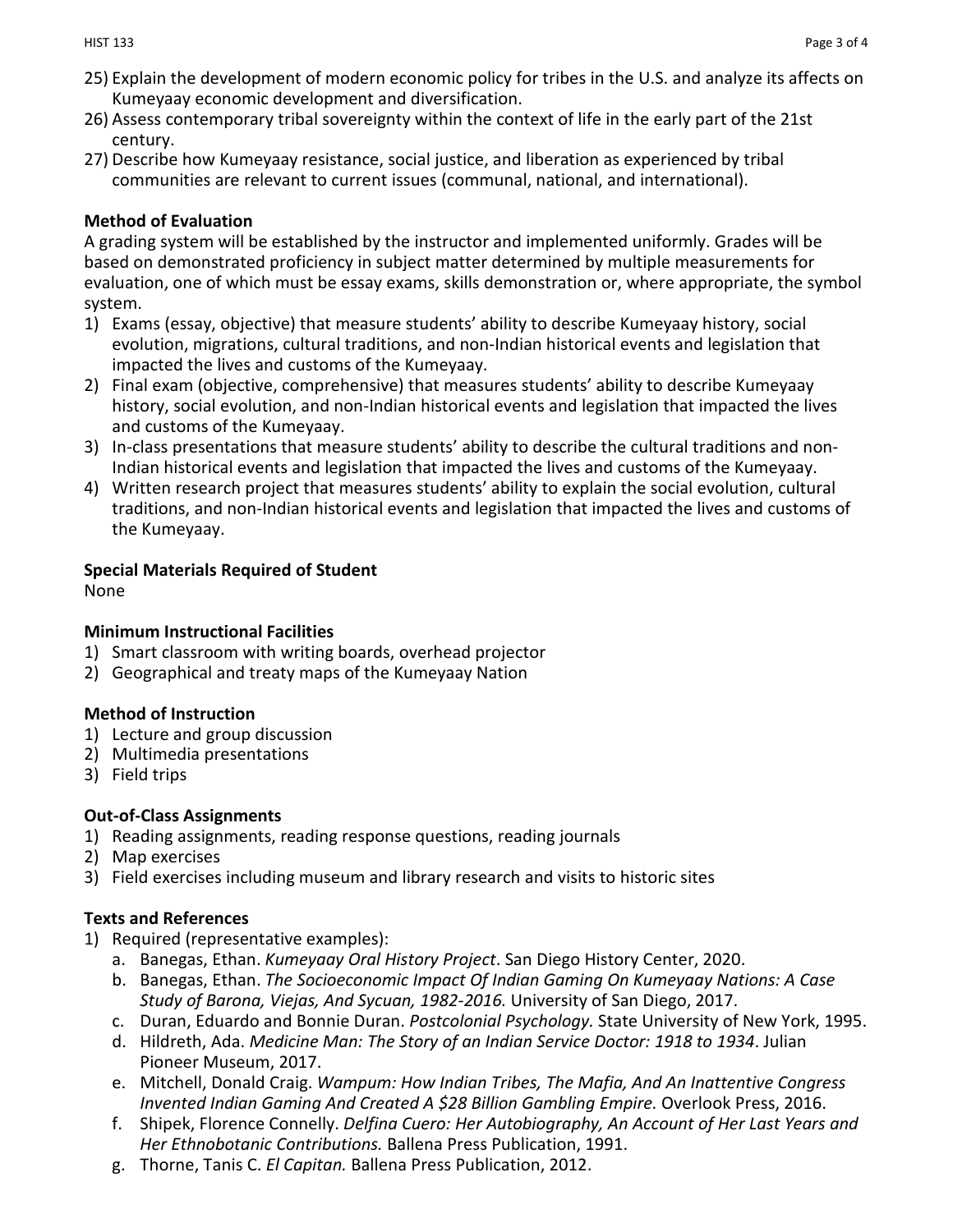- 25) Explain the development of modern economic policy for tribes in the U.S. and analyze its affects on Kumeyaay economic development and diversification.
- 26) Assess contemporary tribal sovereignty within the context of life in the early part of the 21st century.
- 27) Describe how Kumeyaay resistance, social justice, and liberation as experienced by tribal communities are relevant to current issues (communal, national, and international).

### **Method of Evaluation**

A grading system will be established by the instructor and implemented uniformly. Grades will be based on demonstrated proficiency in subject matter determined by multiple measurements for evaluation, one of which must be essay exams, skills demonstration or, where appropriate, the symbol system.

- 1) Exams (essay, objective) that measure students' ability to describe Kumeyaay history, social evolution, migrations, cultural traditions, and non-Indian historical events and legislation that impacted the lives and customs of the Kumeyaay.
- 2) Final exam (objective, comprehensive) that measures students' ability to describe Kumeyaay history, social evolution, and non-Indian historical events and legislation that impacted the lives and customs of the Kumeyaay.
- 3) In-class presentations that measure students' ability to describe the cultural traditions and non-Indian historical events and legislation that impacted the lives and customs of the Kumeyaay.
- 4) Written research project that measures students' ability to explain the social evolution, cultural traditions, and non-Indian historical events and legislation that impacted the lives and customs of the Kumeyaay.

### **Special Materials Required of Student**

None

# **Minimum Instructional Facilities**

- 1) Smart classroom with writing boards, overhead projector
- 2) Geographical and treaty maps of the Kumeyaay Nation

# **Method of Instruction**

- 1) Lecture and group discussion
- 2) Multimedia presentations
- 3) Field trips

# **Out-of-Class Assignments**

- 1) Reading assignments, reading response questions, reading journals
- 2) Map exercises
- 3) Field exercises including museum and library research and visits to historic sites

# **Texts and References**

- 1) Required (representative examples):
	- a. Banegas, Ethan. *Kumeyaay Oral History Project*. San Diego History Center, 2020.
	- b. Banegas, Ethan. *The Socioeconomic Impact Of Indian Gaming On Kumeyaay Nations: A Case Study of Barona, Viejas, And Sycuan, 1982-2016.* University of San Diego, 2017.
	- c. Duran, Eduardo and Bonnie Duran. *Postcolonial Psychology.* State University of New York, 1995.
	- d. Hildreth, Ada. *Medicine Man: The Story of an Indian Service Doctor: 1918 to 1934*. Julian Pioneer Museum, 2017.
	- e. Mitchell, Donald Craig. *Wampum: How Indian Tribes, The Mafia, And An Inattentive Congress Invented Indian Gaming And Created A \$28 Billion Gambling Empire.* Overlook Press, 2016.
	- f. Shipek, Florence Connelly. *Delfina Cuero: Her Autobiography, An Account of Her Last Years and Her Ethnobotanic Contributions.* Ballena Press Publication, 1991.
	- g. Thorne, Tanis C. *El Capitan.* Ballena Press Publication, 2012.